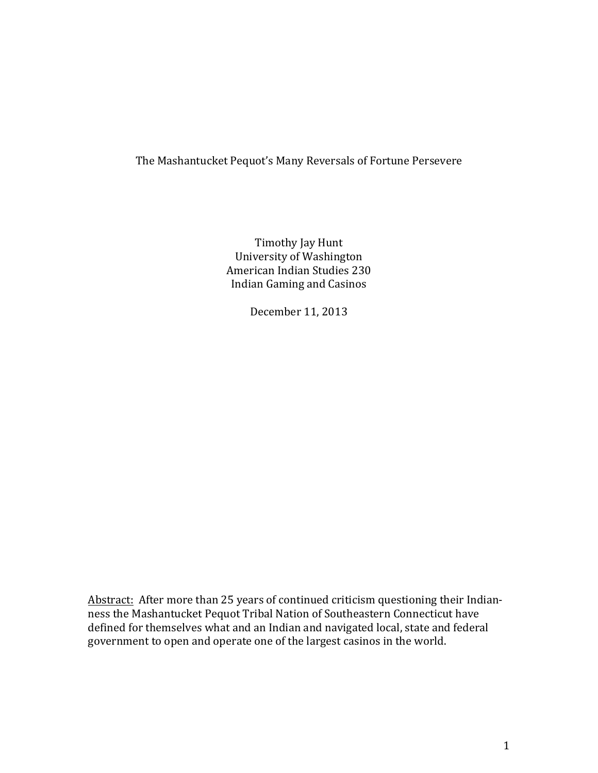# The Mashantucket Pequot's Many Reversals of Fortune Persevere

Timothy Jay Hunt University of Washington American Indian Studies 230 Indian Gaming and Casinos

December 11, 2013

Abstract: After more than 25 years of continued criticism questioning their Indianness the Mashantucket Pequot Tribal Nation of Southeastern Connecticut have defined for themselves what and an Indian and navigated local, state and federal government to open and operate one of the largest casinos in the world.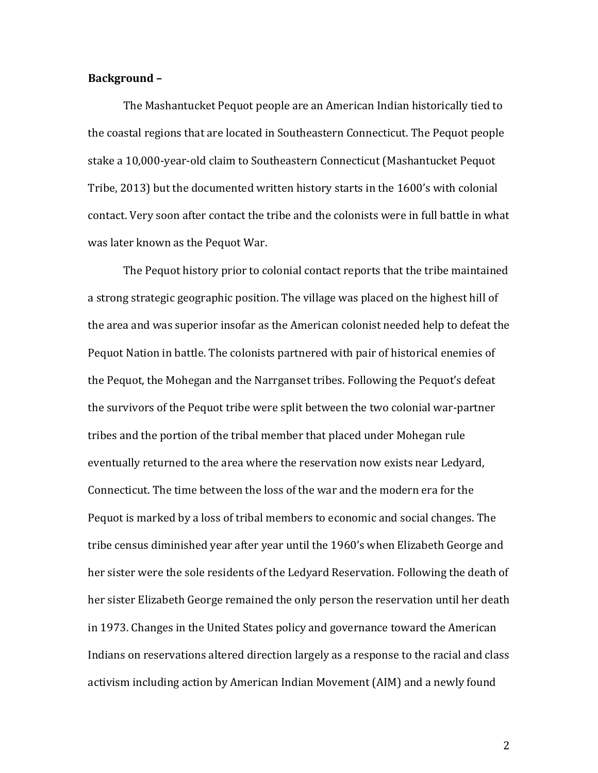### Background -

The Mashantucket Pequot people are an American Indian historically tied to the coastal regions that are located in Southeastern Connecticut. The Pequot people stake a 10,000-year-old claim to Southeastern Connecticut (Mashantucket Pequot Tribe, 2013) but the documented written history starts in the 1600's with colonial contact. Very soon after contact the tribe and the colonists were in full battle in what was later known as the Pequot War.

The Pequot history prior to colonial contact reports that the tribe maintained a strong strategic geographic position. The village was placed on the highest hill of the area and was superior insofar as the American colonist needed help to defeat the Pequot Nation in battle. The colonists partnered with pair of historical enemies of the Pequot, the Mohegan and the Narrganset tribes. Following the Pequot's defeat the survivors of the Pequot tribe were split between the two colonial war-partner tribes and the portion of the tribal member that placed under Mohegan rule eventually returned to the area where the reservation now exists near Ledyard, Connecticut. The time between the loss of the war and the modern era for the Pequot is marked by a loss of tribal members to economic and social changes. The tribe census diminished year after year until the 1960's when Elizabeth George and her sister were the sole residents of the Ledyard Reservation. Following the death of her sister Elizabeth George remained the only person the reservation until her death in 1973. Changes in the United States policy and governance toward the American Indians on reservations altered direction largely as a response to the racial and class activism including action by American Indian Movement (AIM) and a newly found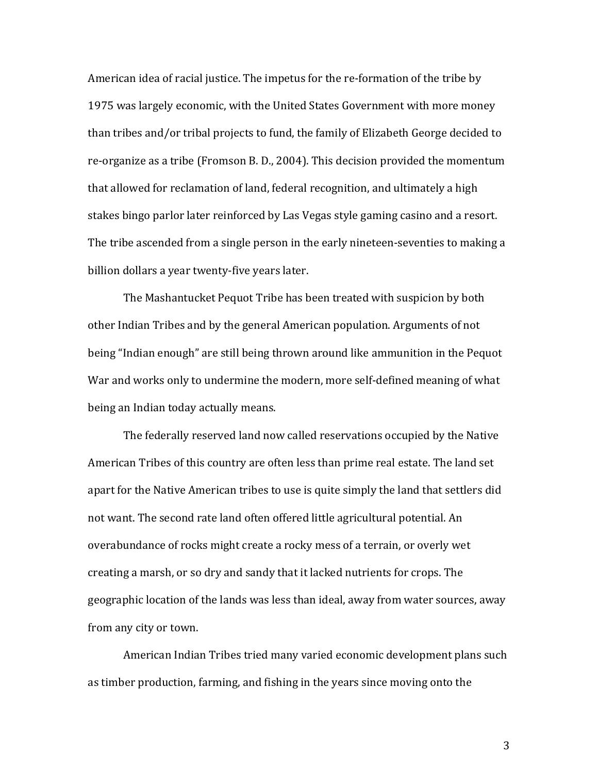American idea of racial justice. The impetus for the re-formation of the tribe by 1975 was largely economic, with the United States Government with more money than tribes and/or tribal projects to fund, the family of Elizabeth George decided to re-organize as a tribe (Fromson B.D., 2004). This decision provided the momentum that allowed for reclamation of land, federal recognition, and ultimately a high stakes bingo parlor later reinforced by Las Vegas style gaming casino and a resort. The tribe ascended from a single person in the early nineteen-seventies to making a billion dollars a year twenty-five years later.

The Mashantucket Pequot Tribe has been treated with suspicion by both other Indian Tribes and by the general American population. Arguments of not being "Indian enough" are still being thrown around like ammunition in the Pequot War and works only to undermine the modern, more self-defined meaning of what being an Indian today actually means.

The federally reserved land now called reservations occupied by the Native American Tribes of this country are often less than prime real estate. The land set apart for the Native American tribes to use is quite simply the land that settlers did not want. The second rate land often offered little agricultural potential. An overabundance of rocks might create a rocky mess of a terrain, or overly wet creating a marsh, or so dry and sandy that it lacked nutrients for crops. The geographic location of the lands was less than ideal, away from water sources, away from any city or town.

American Indian Tribes tried many varied economic development plans such as timber production, farming, and fishing in the years since moving onto the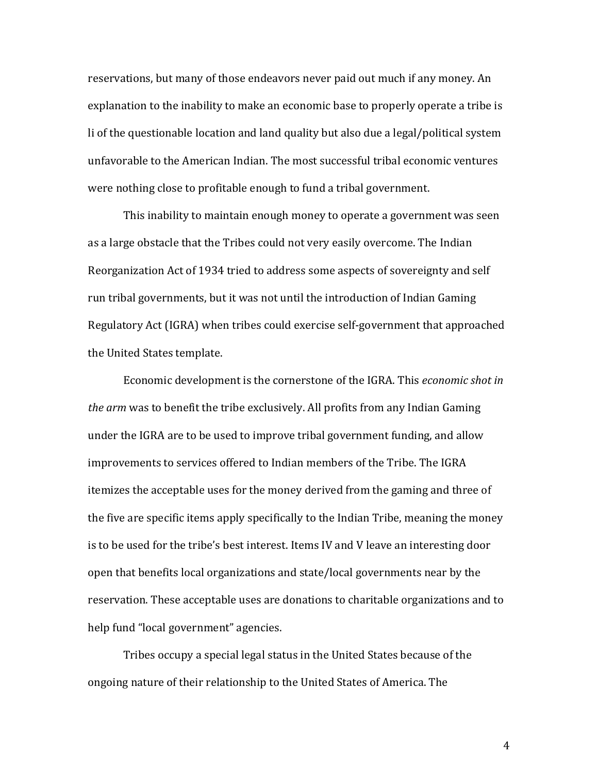reservations, but many of those endeavors never paid out much if any money. An explanation to the inability to make an economic base to properly operate a tribe is li of the questionable location and land quality but also due a legal/political system unfavorable to the American Indian. The most successful tribal economic ventures were nothing close to profitable enough to fund a tribal government.

This inability to maintain enough money to operate a government was seen as a large obstacle that the Tribes could not very easily overcome. The Indian Reorganization Act of 1934 tried to address some aspects of sovereignty and self run tribal governments, but it was not until the introduction of Indian Gaming Regulatory Act (IGRA) when tribes could exercise self-government that approached the United States template.

Economic development is the cornerstone of the IGRA. This *economic shot in the arm* was to benefit the tribe exclusively. All profits from any Indian Gaming under the IGRA are to be used to improve tribal government funding, and allow improvements to services offered to Indian members of the Tribe. The IGRA itemizes the acceptable uses for the money derived from the gaming and three of the five are specific items apply specifically to the Indian Tribe, meaning the money is to be used for the tribe's best interest. Items IV and V leave an interesting door open that benefits local organizations and state/local governments near by the reservation. These acceptable uses are donations to charitable organizations and to help fund "local government" agencies.

Tribes occupy a special legal status in the United States because of the ongoing nature of their relationship to the United States of America. The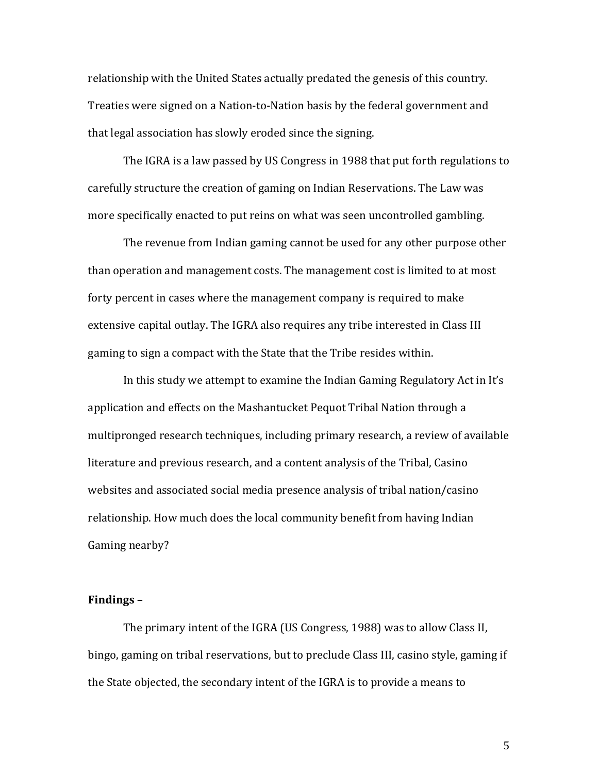relationship with the United States actually predated the genesis of this country. Treaties were signed on a Nation-to-Nation basis by the federal government and that legal association has slowly eroded since the signing.

The IGRA is a law passed by US Congress in 1988 that put forth regulations to carefully structure the creation of gaming on Indian Reservations. The Law was more specifically enacted to put reins on what was seen uncontrolled gambling.

The revenue from Indian gaming cannot be used for any other purpose other than operation and management costs. The management cost is limited to at most forty percent in cases where the management company is required to make extensive capital outlay. The IGRA also requires any tribe interested in Class III gaming to sign a compact with the State that the Tribe resides within.

In this study we attempt to examine the Indian Gaming Regulatory Act in It's application and effects on the Mashantucket Pequot Tribal Nation through a multipronged research techniques, including primary research, a review of available literature and previous research, and a content analysis of the Tribal, Casino websites and associated social media presence analysis of tribal nation/casino relationship. How much does the local community benefit from having Indian Gaming nearby?

### **Findings** –

The primary intent of the IGRA (US Congress, 1988) was to allow Class II, bingo, gaming on tribal reservations, but to preclude Class III, casino style, gaming if the State objected, the secondary intent of the IGRA is to provide a means to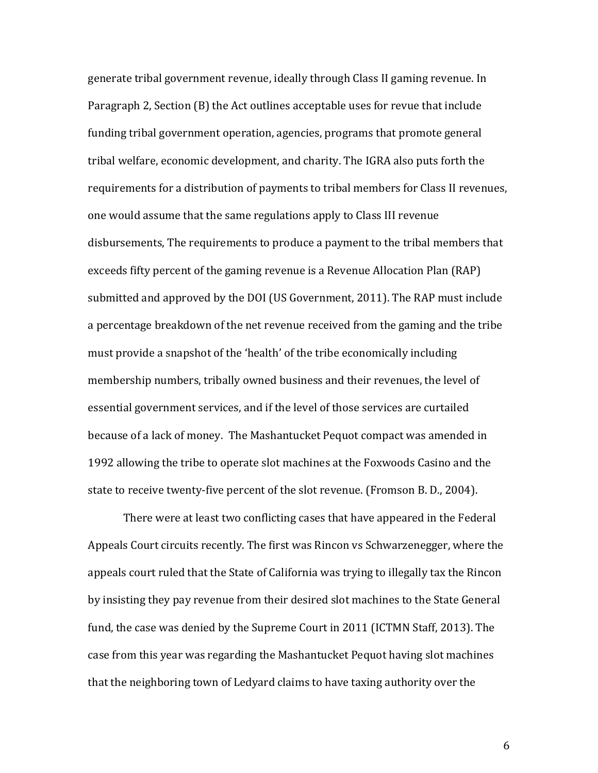generate tribal government revenue, ideally through Class II gaming revenue. In Paragraph 2, Section  $(B)$  the Act outlines acceptable uses for revue that include funding tribal government operation, agencies, programs that promote general tribal welfare, economic development, and charity. The IGRA also puts forth the requirements for a distribution of payments to tribal members for Class II revenues, one would assume that the same regulations apply to Class III revenue disbursements, The requirements to produce a payment to the tribal members that exceeds fifty percent of the gaming revenue is a Revenue Allocation Plan (RAP) submitted and approved by the DOI (US Government, 2011). The RAP must include a percentage breakdown of the net revenue received from the gaming and the tribe must provide a snapshot of the 'health' of the tribe economically including membership numbers, tribally owned business and their revenues, the level of essential government services, and if the level of those services are curtailed because of a lack of money. The Mashantucket Pequot compact was amended in 1992 allowing the tribe to operate slot machines at the Foxwoods Casino and the state to receive twenty-five percent of the slot revenue. (Fromson B. D., 2004).

There were at least two conflicting cases that have appeared in the Federal Appeals Court circuits recently. The first was Rincon vs Schwarzenegger, where the appeals court ruled that the State of California was trying to illegally tax the Rincon by insisting they pay revenue from their desired slot machines to the State General fund, the case was denied by the Supreme Court in 2011 (ICTMN Staff, 2013). The case from this year was regarding the Mashantucket Pequot having slot machines that the neighboring town of Ledyard claims to have taxing authority over the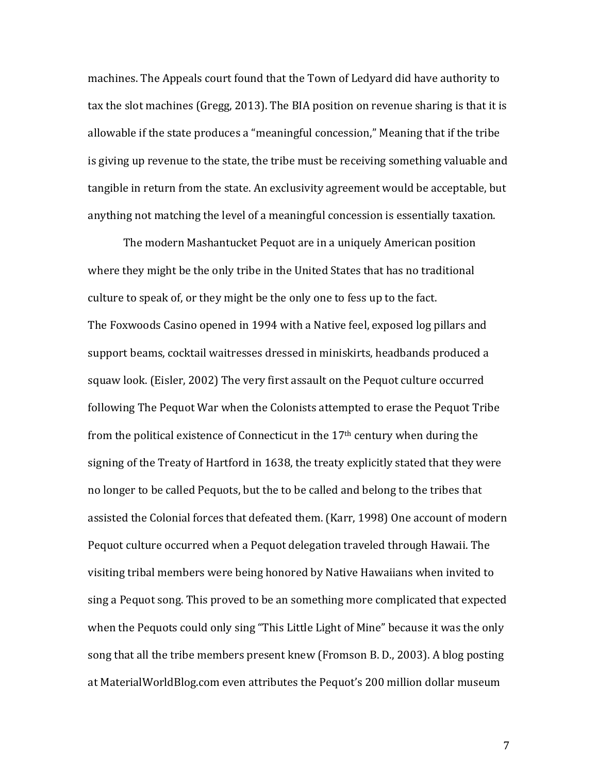machines. The Appeals court found that the Town of Ledyard did have authority to tax the slot machines (Gregg, 2013). The BIA position on revenue sharing is that it is allowable if the state produces a "meaningful concession," Meaning that if the tribe is giving up revenue to the state, the tribe must be receiving something valuable and tangible in return from the state. An exclusivity agreement would be acceptable, but anything not matching the level of a meaningful concession is essentially taxation.

The modern Mashantucket Pequot are in a uniquely American position where they might be the only tribe in the United States that has no traditional culture to speak of, or they might be the only one to fess up to the fact. The Foxwoods Casino opened in 1994 with a Native feel, exposed log pillars and support beams, cocktail waitresses dressed in miniskirts, headbands produced a squaw look. (Eisler, 2002) The very first assault on the Pequot culture occurred following The Pequot War when the Colonists attempted to erase the Pequot Tribe from the political existence of Connecticut in the  $17<sup>th</sup>$  century when during the signing of the Treaty of Hartford in 1638, the treaty explicitly stated that they were no longer to be called Pequots, but the to be called and belong to the tribes that assisted the Colonial forces that defeated them. (Karr, 1998) One account of modern Pequot culture occurred when a Pequot delegation traveled through Hawaii. The visiting tribal members were being honored by Native Hawaiians when invited to sing a Pequot song. This proved to be an something more complicated that expected when the Pequots could only sing "This Little Light of Mine" because it was the only song that all the tribe members present knew (Fromson B. D., 2003). A blog posting at MaterialWorldBlog.com even attributes the Pequot's 200 million dollar museum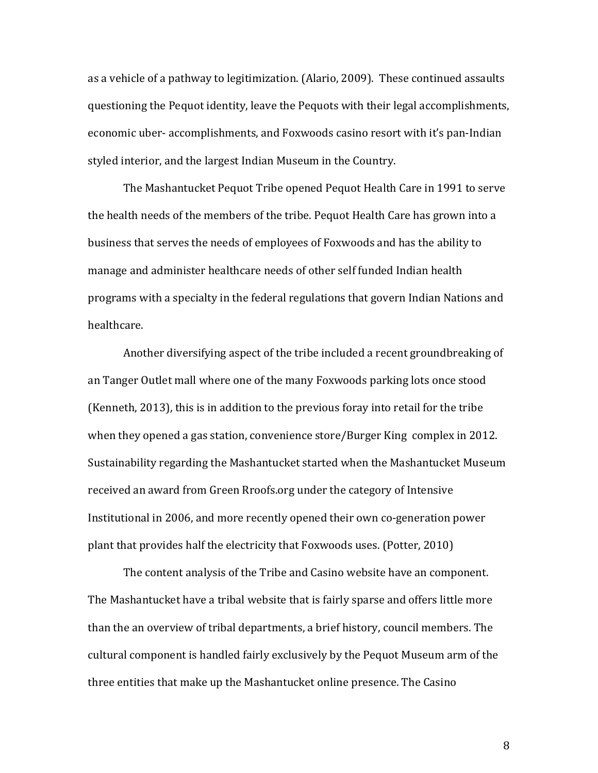as a vehicle of a pathway to legitimization. (Alario, 2009). These continued assaults questioning the Pequot identity, leave the Pequots with their legal accomplishments, economic uber- accomplishments, and Foxwoods casino resort with it's pan-Indian styled interior, and the largest Indian Museum in the Country.

The Mashantucket Pequot Tribe opened Pequot Health Care in 1991 to serve the health needs of the members of the tribe. Pequot Health Care has grown into a business that serves the needs of employees of Foxwoods and has the ability to manage and administer healthcare needs of other self funded Indian health programs with a specialty in the federal regulations that govern Indian Nations and healthcare.

Another diversifying aspect of the tribe included a recent groundbreaking of an Tanger Outlet mall where one of the many Foxwoods parking lots once stood (Kenneth, 2013), this is in addition to the previous foray into retail for the tribe when they opened a gas station, convenience store/Burger King complex in 2012. Sustainability regarding the Mashantucket started when the Mashantucket Museum received an award from Green Rroofs.org under the category of Intensive Institutional in 2006, and more recently opened their own co-generation power plant that provides half the electricity that Foxwoods uses. (Potter, 2010)

The content analysis of the Tribe and Casino website have an component. The Mashantucket have a tribal website that is fairly sparse and offers little more than the an overview of tribal departments, a brief history, council members. The cultural component is handled fairly exclusively by the Pequot Museum arm of the three entities that make up the Mashantucket online presence. The Casino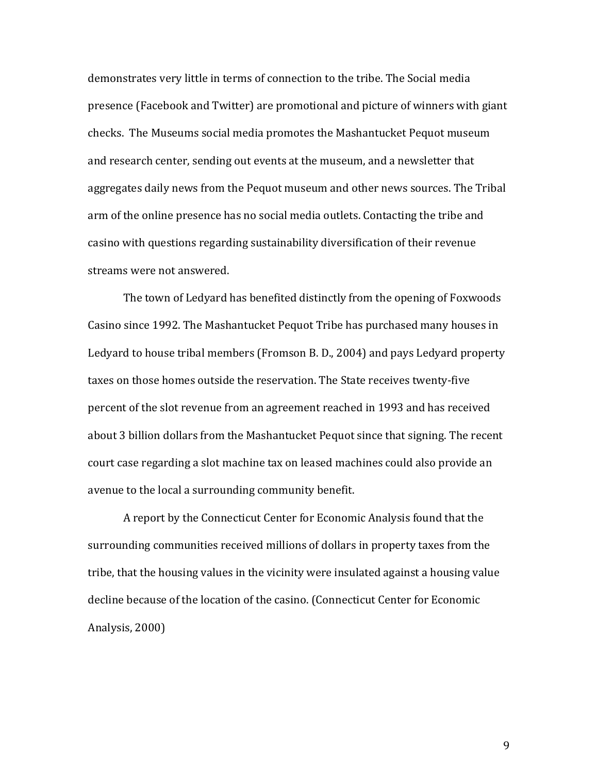demonstrates very little in terms of connection to the tribe. The Social media presence (Facebook and Twitter) are promotional and picture of winners with giant checks. The Museums social media promotes the Mashantucket Pequot museum and research center, sending out events at the museum, and a newsletter that aggregates daily news from the Pequot museum and other news sources. The Tribal arm of the online presence has no social media outlets. Contacting the tribe and casino with questions regarding sustainability diversification of their revenue streams were not answered.

The town of Ledyard has benefited distinctly from the opening of Foxwoods Casino since 1992. The Mashantucket Pequot Tribe has purchased many houses in Ledyard to house tribal members (Fromson B. D., 2004) and pays Ledyard property taxes on those homes outside the reservation. The State receives twenty-five percent of the slot revenue from an agreement reached in 1993 and has received about 3 billion dollars from the Mashantucket Pequot since that signing. The recent court case regarding a slot machine tax on leased machines could also provide an avenue to the local a surrounding community benefit.

A report by the Connecticut Center for Economic Analysis found that the surrounding communities received millions of dollars in property taxes from the tribe, that the housing values in the vicinity were insulated against a housing value decline because of the location of the casino. (Connecticut Center for Economic Analysis, 2000)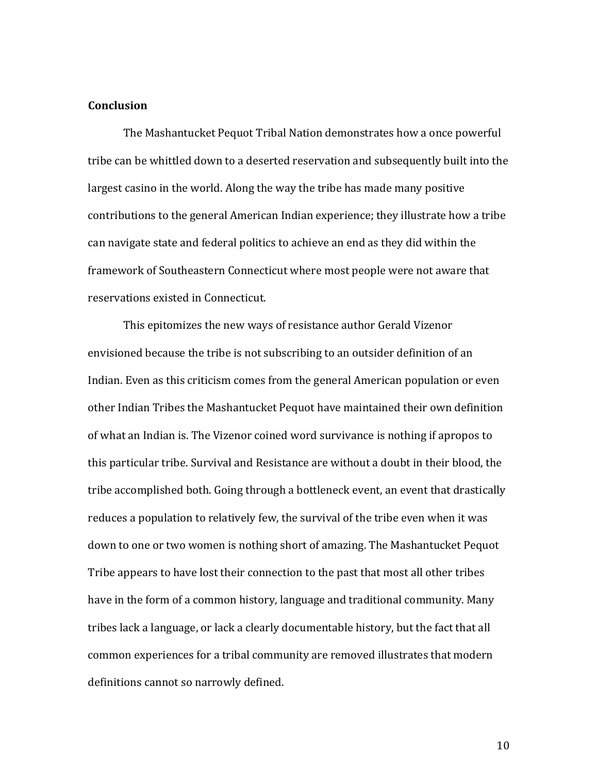#### **Conclusion**

The Mashantucket Pequot Tribal Nation demonstrates how a once powerful tribe can be whittled down to a deserted reservation and subsequently built into the largest casino in the world. Along the way the tribe has made many positive contributions to the general American Indian experience: they illustrate how a tribe can navigate state and federal politics to achieve an end as they did within the framework of Southeastern Connecticut where most people were not aware that reservations existed in Connecticut.

This epitomizes the new ways of resistance author Gerald Vizenor envisioned because the tribe is not subscribing to an outsider definition of an Indian. Even as this criticism comes from the general American population or even other Indian Tribes the Mashantucket Pequot have maintained their own definition of what an Indian is. The Vizenor coined word survivance is nothing if apropos to this particular tribe. Survival and Resistance are without a doubt in their blood, the tribe accomplished both. Going through a bottleneck event, an event that drastically reduces a population to relatively few, the survival of the tribe even when it was down to one or two women is nothing short of amazing. The Mashantucket Pequot Tribe appears to have lost their connection to the past that most all other tribes have in the form of a common history, language and traditional community. Many tribes lack a language, or lack a clearly documentable history, but the fact that all common experiences for a tribal community are removed illustrates that modern definitions cannot so narrowly defined.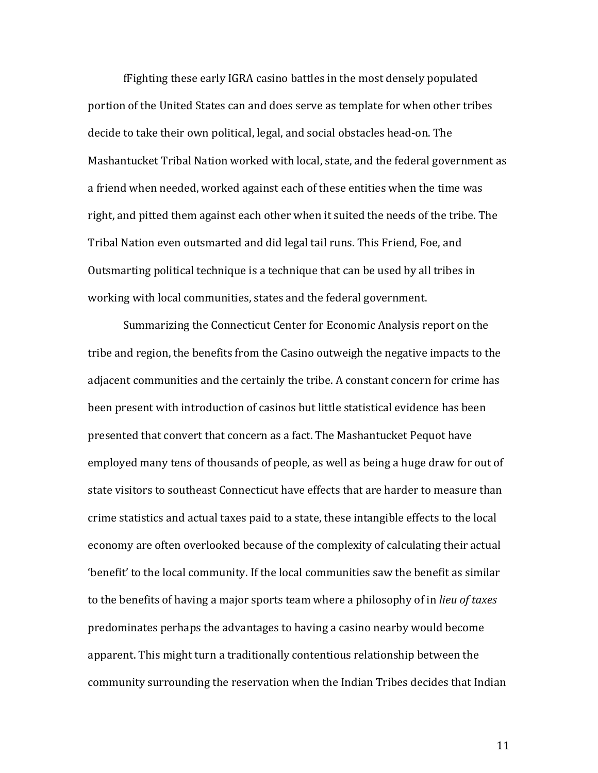f Fighting these early IGRA casino battles in the most densely populated portion of the United States can and does serve as template for when other tribes decide to take their own political, legal, and social obstacles head-on. The Mashantucket Tribal Nation worked with local, state, and the federal government as a friend when needed, worked against each of these entities when the time was right, and pitted them against each other when it suited the needs of the tribe. The Tribal Nation even outsmarted and did legal tail runs. This Friend, Foe, and Outsmarting political technique is a technique that can be used by all tribes in working with local communities, states and the federal government.

Summarizing the Connecticut Center for Economic Analysis report on the tribe and region, the benefits from the Casino outweigh the negative impacts to the adjacent communities and the certainly the tribe. A constant concern for crime has been present with introduction of casinos but little statistical evidence has been presented that convert that concern as a fact. The Mashantucket Pequot have employed many tens of thousands of people, as well as being a huge draw for out of state visitors to southeast Connecticut have effects that are harder to measure than crime statistics and actual taxes paid to a state, these intangible effects to the local economy are often overlooked because of the complexity of calculating their actual 'benefit' to the local community. If the local communities saw the benefit as similar to the benefits of having a major sports team where a philosophy of in *lieu of taxes* predominates perhaps the advantages to having a casino nearby would become apparent. This might turn a traditionally contentious relationship between the community surrounding the reservation when the Indian Tribes decides that Indian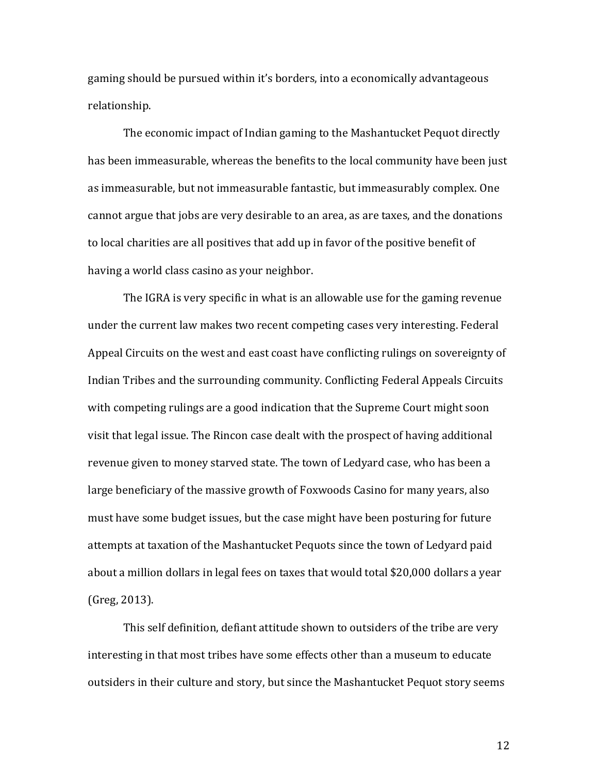gaming should be pursued within it's borders, into a economically advantageous relationship.

The economic impact of Indian gaming to the Mashantucket Pequot directly has been immeasurable, whereas the benefits to the local community have been just as immeasurable, but not immeasurable fantastic, but immeasurably complex. One cannot argue that jobs are very desirable to an area, as are taxes, and the donations to local charities are all positives that add up in favor of the positive benefit of having a world class casino as your neighbor.

The IGRA is very specific in what is an allowable use for the gaming revenue under the current law makes two recent competing cases very interesting. Federal Appeal Circuits on the west and east coast have conflicting rulings on sovereignty of Indian Tribes and the surrounding community. Conflicting Federal Appeals Circuits with competing rulings are a good indication that the Supreme Court might soon visit that legal issue. The Rincon case dealt with the prospect of having additional revenue given to money starved state. The town of Ledyard case, who has been a large beneficiary of the massive growth of Foxwoods Casino for many years, also must have some budget issues, but the case might have been posturing for future attempts at taxation of the Mashantucket Pequots since the town of Ledyard paid about a million dollars in legal fees on taxes that would total \$20,000 dollars a year (Greg, 2013).

This self definition, defiant attitude shown to outsiders of the tribe are very interesting in that most tribes have some effects other than a museum to educate outsiders in their culture and story, but since the Mashantucket Pequot story seems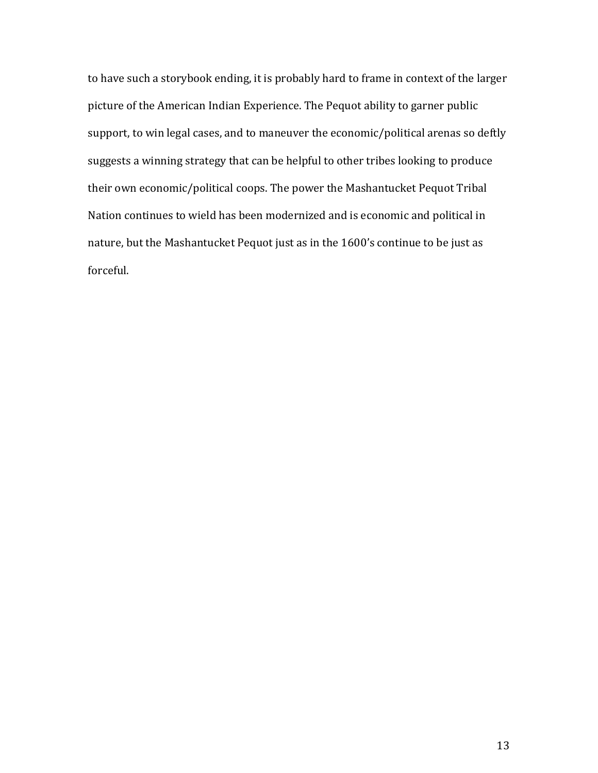to have such a storybook ending, it is probably hard to frame in context of the larger picture of the American Indian Experience. The Pequot ability to garner public support, to win legal cases, and to maneuver the economic/political arenas so deftly suggests a winning strategy that can be helpful to other tribes looking to produce their own economic/political coops. The power the Mashantucket Pequot Tribal Nation continues to wield has been modernized and is economic and political in nature, but the Mashantucket Pequot just as in the 1600's continue to be just as forceful.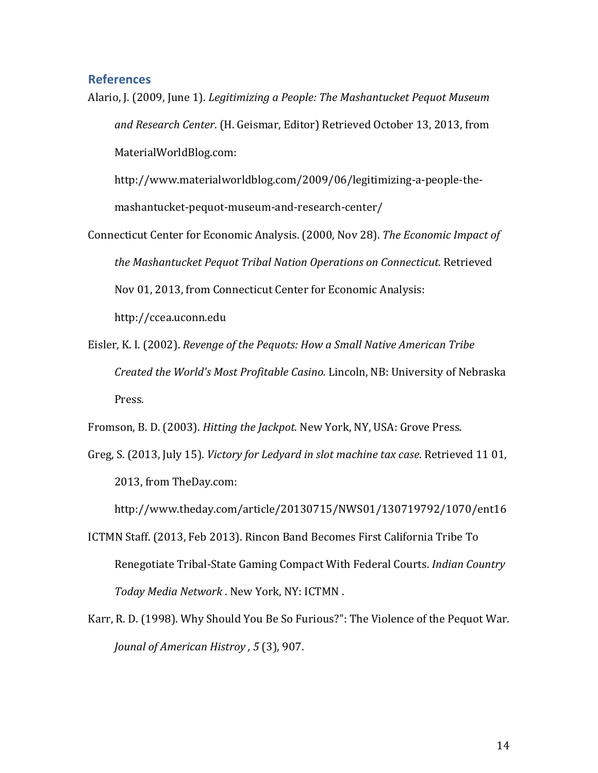## **References**

Alario, J. (2009, June 1). *Legitimizing a People: The Mashantucket Pequot Museum* and Research Center. (H. Geismar, Editor) Retrieved October 13, 2013, from MaterialWorldBlog.com: 

http://www.materialworldblog.com/2009/06/legitimizing-a-people-themashantucket-pequot-museum-and-research-center/

- Connecticut Center for Economic Analysis. (2000, Nov 28). The Economic Impact of *the Mashantucket Pequot Tribal Nation Operations on Connecticut. Retrieved* Nov 01, 2013, from Connecticut Center for Economic Analysis: http://ccea.uconn.edu
- Eisler, K. I. (2002). *Revenge of the Pequots: How a Small Native American Tribe Created the World's Most Profitable Casino.* Lincoln, NB: University of Nebraska Press.

Fromson, B. D. (2003). *Hitting the Jackpot.* New York, NY, USA: Grove Press.

Greg, S. (2013, July 15). *Victory for Ledyard in slot machine tax case*. Retrieved 11 01, 2013, from TheDay.com:

http://www.theday.com/article/20130715/NWS01/130719792/1070/ent16

- ICTMN Staff. (2013, Feb 2013). Rincon Band Becomes First California Tribe To Renegotiate Tribal-State Gaming Compact With Federal Courts. *Indian Country* Today Media Network . New York, NY: ICTMN.
- Karr, R. D. (1998). Why Should You Be So Furious?": The Violence of the Pequot War. *Jounal of American Histroy*, 5(3), 907.